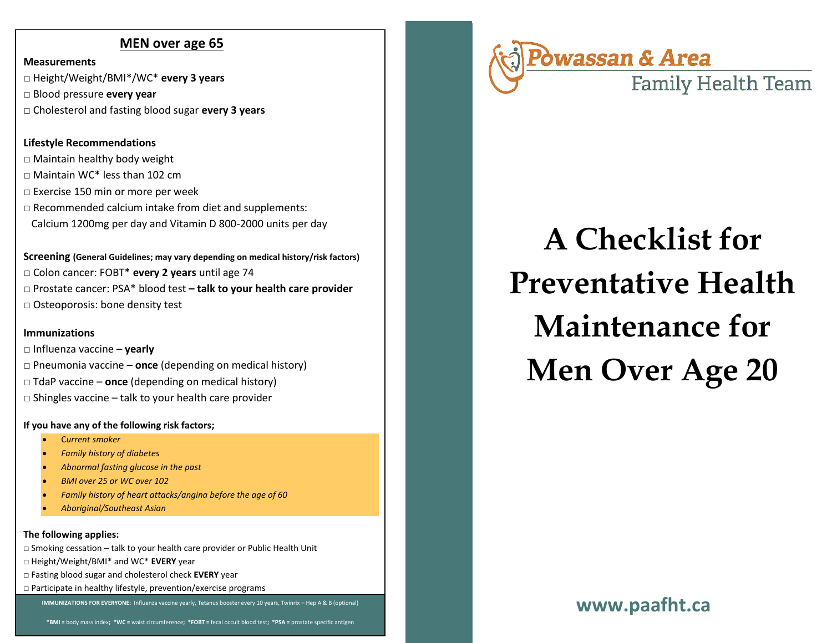# **MEN over age 65**

**Measurements**

**□** Height/Weight/BMI\*/WC\* **every 3 years**

□ Blood pressure **every year** 

□ Cholesterol and fasting blood sugar **every 3 years** 

# **Lifestyle Recommendations**

 $\square$  Maintain healthy body weight □ Maintain WC\* less than 102 cm □ Exercise 150 min or more per week  $\square$  Recommended calcium intake from diet and supplements: Calcium 1200mg per day and Vitamin D 800-2000 units per day

**Screening (General Guidelines; may vary depending on medical history/risk factors)** □ Colon cancer: FOBT\* **every 2 years** until age 74 □ Prostate cancer: PSA\* blood test **– talk to your health care provider** □ Osteoporosis: bone density test

# **Immunizations**

□ Influenza vaccine – **yearly**

- □ Pneumonia vaccine **once** (depending on medical history)
- □ TdaP vaccine **once** (depending on medical history)
- $\square$  Shingles vaccine talk to your health care provider

# **If you have any of the following risk factors;**

- C*urrent smoker*
- *Family history of diabetes*
- *Abnormal fasting glucose in the past*
- *BMI over 25 or WC over 102*
- *Family history of heart attacks/angina before the age of 60*
- *Aboriginal/Southeast Asian*

# **The following applies:**

- *□* Smoking cessation talk to your health care provider or Public Health Unit
- □ Height/Weight/BMI\* and WC\* **EVERY** year
- □ Fasting blood sugar and cholesterol check **EVERY** year
- □ Participate in healthy lifestyle, prevention/exercise programs

**IMMUNIZATIONS FOR EVERYONE:** Influenza vaccine yearly, Tetanus booster every 10 years, Twinrix – Hep A & B (optional)<br> **IMMUNIZATIONS FOR EVERYONE:** Influenza vaccine yearly, Tetanus booster every 10 years, Twinrix – Hep



# **A Checklist for Preventative Health Maintenance for Men Over Age 20**